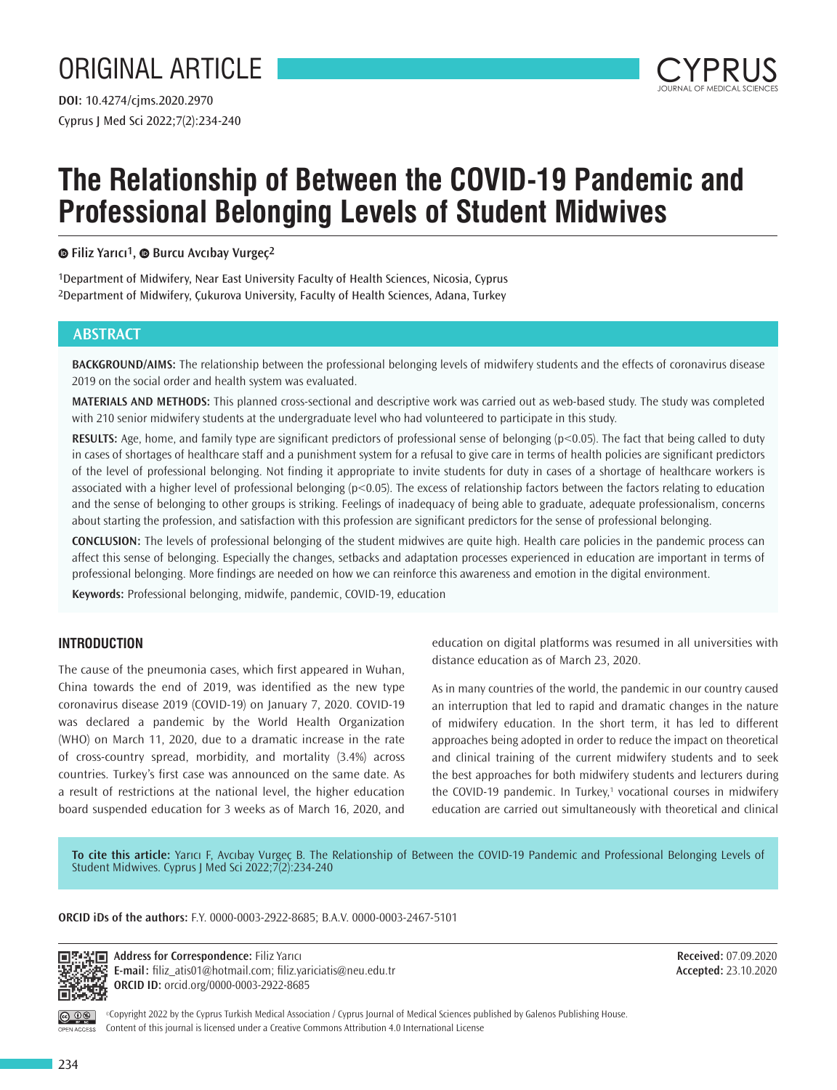# ORIGINAL ARTICLE

Cyprus J Med Sci 2022;7(2):234-240 **DOI:** 10.4274/cjms.2020.2970



## **The Relationship of Between the COVID-19 Pandemic and Professional Belonging Levels of Student Midwives**

**Filiz Yarıcı1,Burcu Avcıbay Vurgeç2**

1Department of Midwifery, Near East University Faculty of Health Sciences, Nicosia, Cyprus 2Department of Midwifery, Çukurova University, Faculty of Health Sciences, Adana, Turkey

## **ABSTRACT**

**BACKGROUND/AIMS:** The relationship between the professional belonging levels of midwifery students and the effects of coronavirus disease 2019 on the social order and health system was evaluated.

**MATERIALS AND METHODS:** This planned cross-sectional and descriptive work was carried out as web-based study. The study was completed with 210 senior midwifery students at the undergraduate level who had volunteered to participate in this study.

**RESULTS:** Age, home, and family type are significant predictors of professional sense of belonging (p<0.05). The fact that being called to duty in cases of shortages of healthcare staff and a punishment system for a refusal to give care in terms of health policies are significant predictors of the level of professional belonging. Not finding it appropriate to invite students for duty in cases of a shortage of healthcare workers is associated with a higher level of professional belonging (p<0.05). The excess of relationship factors between the factors relating to education and the sense of belonging to other groups is striking. Feelings of inadequacy of being able to graduate, adequate professionalism, concerns about starting the profession, and satisfaction with this profession are significant predictors for the sense of professional belonging.

**CONCLUSION:** The levels of professional belonging of the student midwives are quite high. Health care policies in the pandemic process can affect this sense of belonging. Especially the changes, setbacks and adaptation processes experienced in education are important in terms of professional belonging. More findings are needed on how we can reinforce this awareness and emotion in the digital environment.

**Keywords:** Professional belonging, midwife, pandemic, COVID-19, education

## **INTRODUCTION**

The cause of the pneumonia cases, which first appeared in Wuhan, China towards the end of 2019, was identified as the new type coronavirus disease 2019 (COVID-19) on January 7, 2020. COVID-19 was declared a pandemic by the World Health Organization (WHO) on March 11, 2020, due to a dramatic increase in the rate of cross-country spread, morbidity, and mortality (3.4%) across countries. Turkey's first case was announced on the same date. As a result of restrictions at the national level, the higher education board suspended education for 3 weeks as of March 16, 2020, and

education on digital platforms was resumed in all universities with distance education as of March 23, 2020.

As in many countries of the world, the pandemic in our country caused an interruption that led to rapid and dramatic changes in the nature of midwifery education. In the short term, it has led to different approaches being adopted in order to reduce the impact on theoretical and clinical training of the current midwifery students and to seek the best approaches for both midwifery students and lecturers during the COVID-19 pandemic. In Turkey,<sup>1</sup> vocational courses in midwifery education are carried out simultaneously with theoretical and clinical

**To cite this article:** Yarıcı F, Avcıbay Vurgeç B. The Relationship of Between the COVID-19 Pandemic and Professional Belonging Levels of Student Midwives. Cyprus J Med Sci 2022;7(2):234-240

#### **ORCID iDs of the authors:** F.Y. 0000-0003-2922-8685; B.A.V. 0000-0003-2467-5101



**Address for Correspondence:** Filiz Yarıcı **E-mail:** filiz\_atis01@hotmail.com; filiz.yariciatis@neu.edu.tr **ORCID ID:** orcid.org/0000-0003-2922-8685

**Received:** 07.09.2020 **Accepted:** 23.10.2020

PEN ACCESS

©Copyright 2022 by the Cyprus Turkish Medical Association / Cyprus Journal of Medical Sciences published by Galenos Publishing House. Content of this journal is licensed under a Creative Commons Attribution 4.0 International License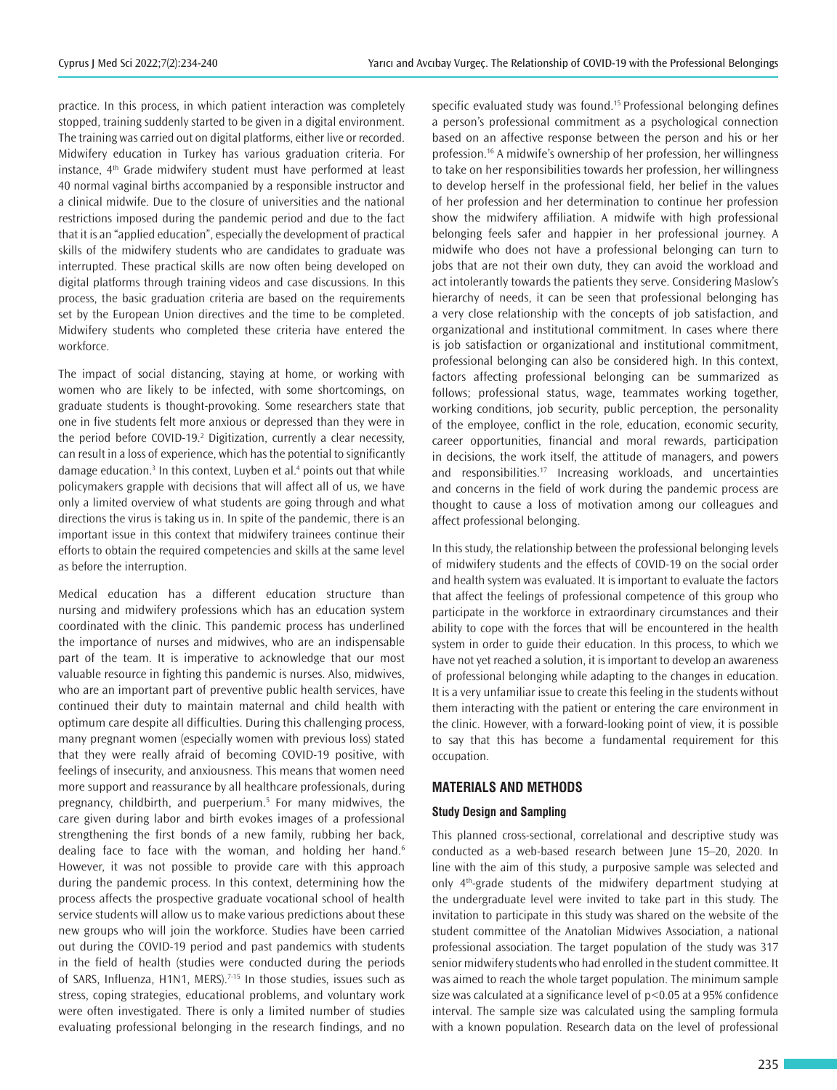practice. In this process, in which patient interaction was completely stopped, training suddenly started to be given in a digital environment. The training was carried out on digital platforms, either live or recorded. Midwifery education in Turkey has various graduation criteria. For instance, 4<sup>th</sup> Grade midwifery student must have performed at least 40 normal vaginal births accompanied by a responsible instructor and a clinical midwife. Due to the closure of universities and the national restrictions imposed during the pandemic period and due to the fact that it is an "applied education", especially the development of practical skills of the midwifery students who are candidates to graduate was interrupted. These practical skills are now often being developed on digital platforms through training videos and case discussions. In this process, the basic graduation criteria are based on the requirements set by the European Union directives and the time to be completed. Midwifery students who completed these criteria have entered the workforce.

The impact of social distancing, staying at home, or working with women who are likely to be infected, with some shortcomings, on graduate students is thought-provoking. Some researchers state that one in five students felt more anxious or depressed than they were in the period before COVID-19.<sup>2</sup> Digitization, currently a clear necessity, can result in a loss of experience, which has the potential to significantly damage education.<sup>3</sup> In this context, Luyben et al.<sup>4</sup> points out that while policymakers grapple with decisions that will affect all of us, we have only a limited overview of what students are going through and what directions the virus is taking us in. In spite of the pandemic, there is an important issue in this context that midwifery trainees continue their efforts to obtain the required competencies and skills at the same level as before the interruption.

Medical education has a different education structure than nursing and midwifery professions which has an education system coordinated with the clinic. This pandemic process has underlined the importance of nurses and midwives, who are an indispensable part of the team. It is imperative to acknowledge that our most valuable resource in fighting this pandemic is nurses. Also, midwives, who are an important part of preventive public health services, have continued their duty to maintain maternal and child health with optimum care despite all difficulties. During this challenging process, many pregnant women (especially women with previous loss) stated that they were really afraid of becoming COVID-19 positive, with feelings of insecurity, and anxiousness. This means that women need more support and reassurance by all healthcare professionals, during pregnancy, childbirth, and puerperium.<sup>5</sup> For many midwives, the care given during labor and birth evokes images of a professional strengthening the first bonds of a new family, rubbing her back, dealing face to face with the woman, and holding her hand.<sup>6</sup> However, it was not possible to provide care with this approach during the pandemic process. In this context, determining how the process affects the prospective graduate vocational school of health service students will allow us to make various predictions about these new groups who will join the workforce. Studies have been carried out during the COVID-19 period and past pandemics with students in the field of health (studies were conducted during the periods of SARS, Influenza, H1N1, MERS).<sup>7-15</sup> In those studies, issues such as stress, coping strategies, educational problems, and voluntary work were often investigated. There is only a limited number of studies evaluating professional belonging in the research findings, and no

specific evaluated study was found.<sup>15</sup> Professional belonging defines a person's professional commitment as a psychological connection based on an affective response between the person and his or her profession.<sup>16</sup> A midwife's ownership of her profession, her willingness to take on her responsibilities towards her profession, her willingness to develop herself in the professional field, her belief in the values of her profession and her determination to continue her profession show the midwifery affiliation. A midwife with high professional belonging feels safer and happier in her professional journey. A midwife who does not have a professional belonging can turn to jobs that are not their own duty, they can avoid the workload and act intolerantly towards the patients they serve. Considering Maslow's hierarchy of needs, it can be seen that professional belonging has a very close relationship with the concepts of job satisfaction, and organizational and institutional commitment. In cases where there is job satisfaction or organizational and institutional commitment, professional belonging can also be considered high. In this context, factors affecting professional belonging can be summarized as follows; professional status, wage, teammates working together, working conditions, job security, public perception, the personality of the employee, conflict in the role, education, economic security, career opportunities, financial and moral rewards, participation in decisions, the work itself, the attitude of managers, and powers and responsibilities.<sup>17</sup> Increasing workloads, and uncertainties and concerns in the field of work during the pandemic process are thought to cause a loss of motivation among our colleagues and affect professional belonging.

In this study, the relationship between the professional belonging levels of midwifery students and the effects of COVID-19 on the social order and health system was evaluated. It is important to evaluate the factors that affect the feelings of professional competence of this group who participate in the workforce in extraordinary circumstances and their ability to cope with the forces that will be encountered in the health system in order to guide their education. In this process, to which we have not yet reached a solution, it is important to develop an awareness of professional belonging while adapting to the changes in education. It is a very unfamiliar issue to create this feeling in the students without them interacting with the patient or entering the care environment in the clinic. However, with a forward-looking point of view, it is possible to say that this has become a fundamental requirement for this occupation.

#### **MATERIALS AND METHODS**

#### **Study Design and Sampling**

This planned cross-sectional, correlational and descriptive study was conducted as a web-based research between June 15–20, 2020. In line with the aim of this study, a purposive sample was selected and only 4th-grade students of the midwifery department studying at the undergraduate level were invited to take part in this study. The invitation to participate in this study was shared on the website of the student committee of the Anatolian Midwives Association, a national professional association. The target population of the study was 317 senior midwifery students who had enrolled in the student committee. It was aimed to reach the whole target population. The minimum sample size was calculated at a significance level of p<0.05 at a 95% confidence interval. The sample size was calculated using the sampling formula with a known population. Research data on the level of professional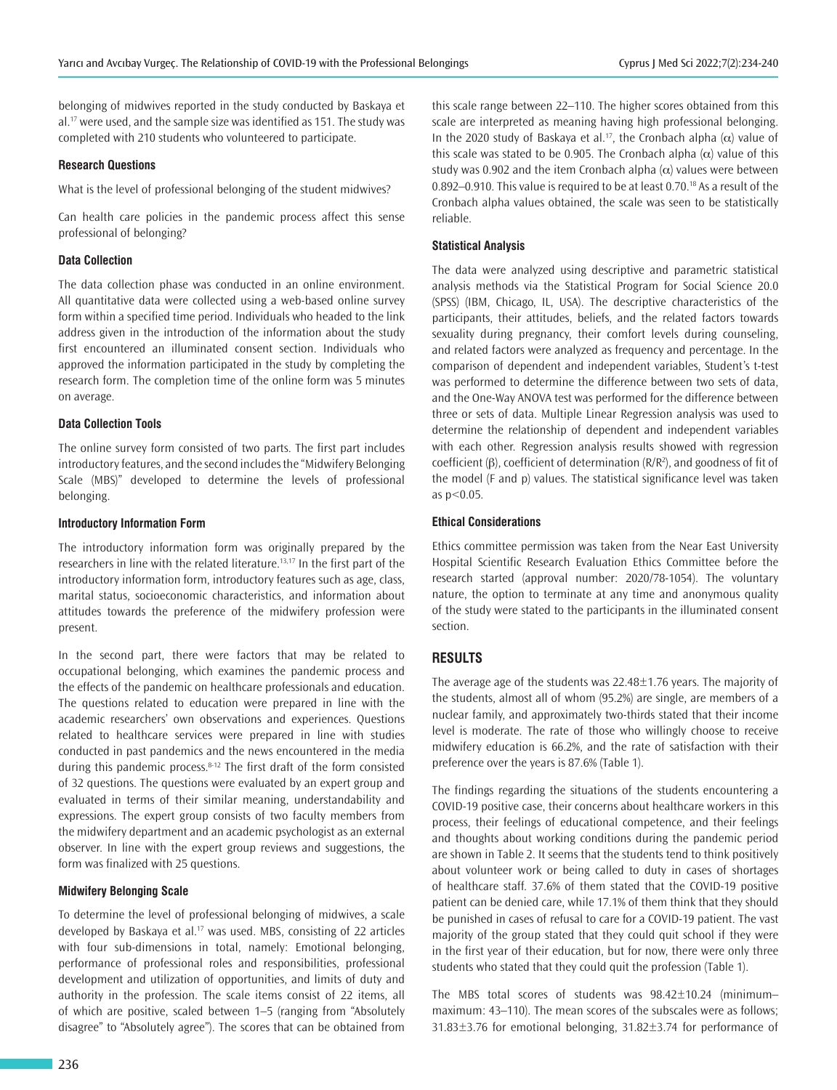belonging of midwives reported in the study conducted by Baskaya et al.<sup>17</sup> were used, and the sample size was identified as 151. The study was completed with 210 students who volunteered to participate.

#### **Research Questions**

What is the level of professional belonging of the student midwives?

Can health care policies in the pandemic process affect this sense professional of belonging?

#### **Data Collection**

The data collection phase was conducted in an online environment. All quantitative data were collected using a web-based online survey form within a specified time period. Individuals who headed to the link address given in the introduction of the information about the study first encountered an illuminated consent section. Individuals who approved the information participated in the study by completing the research form. The completion time of the online form was 5 minutes on average.

#### **Data Collection Tools**

The online survey form consisted of two parts. The first part includes introductory features, and the second includes the "Midwifery Belonging Scale (MBS)" developed to determine the levels of professional belonging.

#### **Introductory Information Form**

The introductory information form was originally prepared by the researchers in line with the related literature.<sup>13,17</sup> In the first part of the introductory information form, introductory features such as age, class, marital status, socioeconomic characteristics, and information about attitudes towards the preference of the midwifery profession were present.

In the second part, there were factors that may be related to occupational belonging, which examines the pandemic process and the effects of the pandemic on healthcare professionals and education. The questions related to education were prepared in line with the academic researchers' own observations and experiences. Questions related to healthcare services were prepared in line with studies conducted in past pandemics and the news encountered in the media during this pandemic process.8-12 The first draft of the form consisted of 32 questions. The questions were evaluated by an expert group and evaluated in terms of their similar meaning, understandability and expressions. The expert group consists of two faculty members from the midwifery department and an academic psychologist as an external observer. In line with the expert group reviews and suggestions, the form was finalized with 25 questions.

#### **Midwifery Belonging Scale**

To determine the level of professional belonging of midwives, a scale developed by Baskaya et al.<sup>17</sup> was used. MBS, consisting of 22 articles with four sub-dimensions in total, namely: Emotional belonging, performance of professional roles and responsibilities, professional development and utilization of opportunities, and limits of duty and authority in the profession. The scale items consist of 22 items, all of which are positive, scaled between 1–5 (ranging from "Absolutely disagree" to "Absolutely agree"). The scores that can be obtained from

this scale range between 22–110. The higher scores obtained from this scale are interpreted as meaning having high professional belonging. In the 2020 study of Baskaya et al.<sup>17</sup>, the Cronbach alpha ( $\alpha$ ) value of this scale was stated to be 0.905. The Cronbach alpha  $(\alpha)$  value of this study was 0.902 and the item Cronbach alpha  $(\alpha)$  values were between 0.892–0.910. This value is required to be at least 0.70.<sup>18</sup> As a result of the Cronbach alpha values obtained, the scale was seen to be statistically reliable.

#### **Statistical Analysis**

The data were analyzed using descriptive and parametric statistical analysis methods via the Statistical Program for Social Science 20.0 (SPSS) (IBM, Chicago, IL, USA). The descriptive characteristics of the participants, their attitudes, beliefs, and the related factors towards sexuality during pregnancy, their comfort levels during counseling, and related factors were analyzed as frequency and percentage. In the comparison of dependent and independent variables, Student's t-test was performed to determine the difference between two sets of data, and the One-Way ANOVA test was performed for the difference between three or sets of data. Multiple Linear Regression analysis was used to determine the relationship of dependent and independent variables with each other. Regression analysis results showed with regression coefficient  $(β)$ , coefficient of determination  $(R/R<sup>2</sup>)$ , and goodness of fit of the model (F and p) values. The statistical significance level was taken as p<0.05.

#### **Ethical Considerations**

Ethics committee permission was taken from the Near East University Hospital Scientific Research Evaluation Ethics Committee before the research started (approval number: 2020/78-1054). The voluntary nature, the option to terminate at any time and anonymous quality of the study were stated to the participants in the illuminated consent section.

#### **RESULTS**

The average age of the students was 22.48±1.76 years. The majority of the students, almost all of whom (95.2%) are single, are members of a nuclear family, and approximately two-thirds stated that their income level is moderate. The rate of those who willingly choose to receive midwifery education is 66.2%, and the rate of satisfaction with their preference over the years is 87.6% (Table 1).

The findings regarding the situations of the students encountering a COVID-19 positive case, their concerns about healthcare workers in this process, their feelings of educational competence, and their feelings and thoughts about working conditions during the pandemic period are shown in Table 2. It seems that the students tend to think positively about volunteer work or being called to duty in cases of shortages of healthcare staff. 37.6% of them stated that the COVID-19 positive patient can be denied care, while 17.1% of them think that they should be punished in cases of refusal to care for a COVID-19 patient. The vast majority of the group stated that they could quit school if they were in the first year of their education, but for now, there were only three students who stated that they could quit the profession (Table 1).

The MBS total scores of students was 98.42±10.24 (minimum– maximum: 43–110). The mean scores of the subscales were as follows; 31.83±3.76 for emotional belonging, 31.82±3.74 for performance of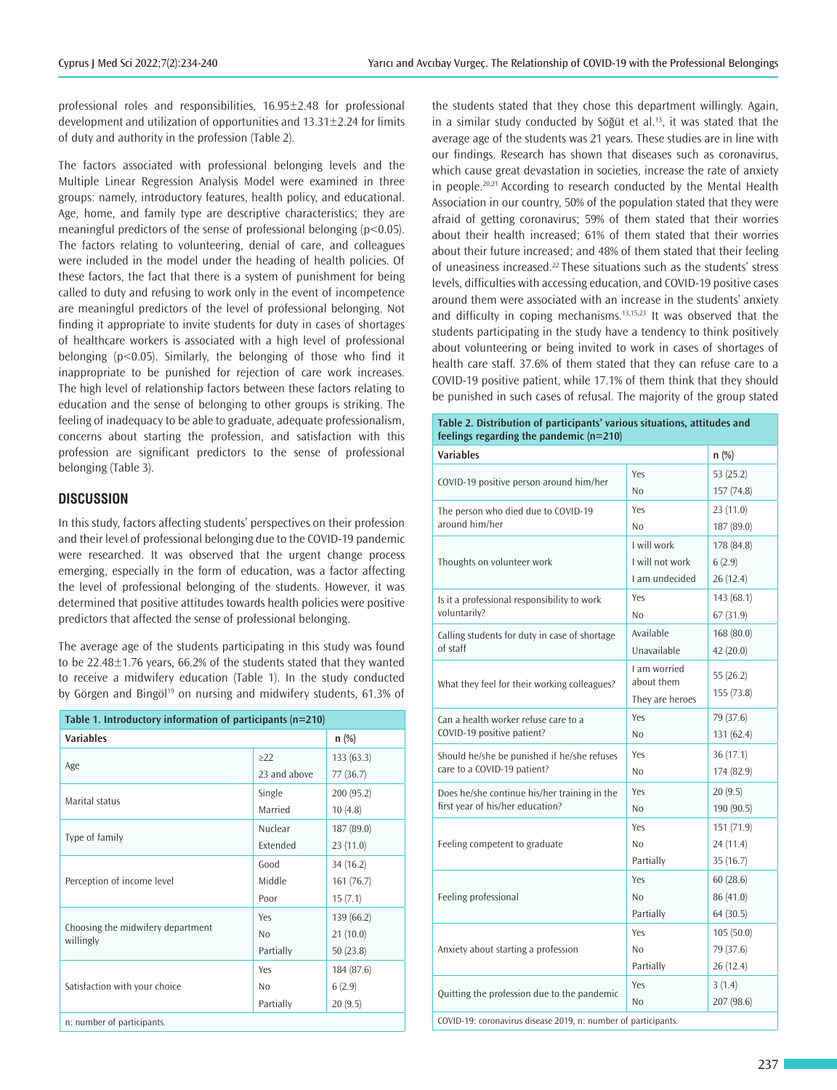professional roles and responsibilities, 16.95±2.48 for professional development and utilization of opportunities and 13.31±2.24 for limits of duty and authority in the profession (Table 2).

The factors associated with professional belonging levels and the Multiple Linear Regression Analysis Model were examined in three groups: namely, introductory features, health policy, and educational. Age, home, and family type are descriptive characteristics; they are meaningful predictors of the sense of professional belonging (p<0.05). The factors relating to volunteering, denial of care, and colleagues were included in the model under the heading of health policies. Of these factors, the fact that there is a system of punishment for being called to duty and refusing to work only in the event of incompetence are meaningful predictors of the level of professional belonging. Not finding it appropriate to invite students for duty in cases of shortages of healthcare workers is associated with a high level of professional belonging (p<0.05). Similarly, the belonging of those who find it inappropriate to be punished for rejection of care work increases. The high level of relationship factors between these factors relating to education and the sense of belonging to other groups is striking. The feeling of inadequacy to be able to graduate, adequate professionalism, concerns about starting the profession, and satisfaction with this profession are significant predictors to the sense of professional belonging (Table 3).

### **DISCUSSION**

In this study, factors affecting students' perspectives on their profession and their level of professional belonging due to the COVID-19 pandemic were researched. It was observed that the urgent change process emerging, especially in the form of education, was a factor affecting the level of professional belonging of the students. However, it was determined that positive attitudes towards health policies were positive predictors that affected the sense of professional belonging.

The average age of the students participating in this study was found to be 22.48±1.76 years, 66.2% of the students stated that they wanted to receive a midwifery education (Table 1). In the study conducted by Görgen and Bingöl<sup>19</sup> on nursing and midwifery students, 61.3% of

| Table 1. Introductory information of participants ( $n=210$ ) |                 |            |  |  |  |  |  |
|---------------------------------------------------------------|-----------------|------------|--|--|--|--|--|
| <b>Variables</b>                                              | $n$ (%)         |            |  |  |  |  |  |
|                                                               | >22             | 133(63.3)  |  |  |  |  |  |
| Age                                                           | 23 and above    | 77(36.7)   |  |  |  |  |  |
| Marital status                                                | Single          | 200 (95.2) |  |  |  |  |  |
|                                                               | Married         | 10(4.8)    |  |  |  |  |  |
|                                                               | Nuclear         | 187 (89.0) |  |  |  |  |  |
| Type of family                                                | <b>Extended</b> | 23(11.0)   |  |  |  |  |  |
| Perception of income level                                    | Good            | 34 (16.2)  |  |  |  |  |  |
|                                                               | Middle          | 161(76.7)  |  |  |  |  |  |
|                                                               | Poor            | 15(7.1)    |  |  |  |  |  |
|                                                               | Yes             | 139 (66.2) |  |  |  |  |  |
| Choosing the midwifery department<br>willingly                | No              | 21(10.0)   |  |  |  |  |  |
|                                                               | Partially       | 50(23.8)   |  |  |  |  |  |
|                                                               | Yes             | 184 (87.6) |  |  |  |  |  |
| Satisfaction with your choice                                 | No              | 6(2.9)     |  |  |  |  |  |
|                                                               | Partially       | 20(9.5)    |  |  |  |  |  |
| n: number of participants.                                    |                 |            |  |  |  |  |  |

the students stated that they chose this department willingly. Again, in a similar study conducted by Söğüt et al.<sup>13</sup>, it was stated that the average age of the students was 21 years. These studies are in line with our findings. Research has shown that diseases such as coronavirus, which cause great devastation in societies, increase the rate of anxiety in people.20,21 According to research conducted by the Mental Health Association in our country, 50% of the population stated that they were afraid of getting coronavirus; 59% of them stated that their worries about their health increased; 61% of them stated that their worries about their future increased; and 48% of them stated that their feeling of uneasiness increased.<sup>22</sup> These situations such as the students' stress levels, difficulties with accessing education, and COVID-19 positive cases around them were associated with an increase in the students' anxiety and difficulty in coping mechanisms.<sup>13,15,23</sup> It was observed that the students participating in the study have a tendency to think positively about volunteering or being invited to work in cases of shortages of health care staff. 37.6% of them stated that they can refuse care to a COVID-19 positive patient, while 17.1% of them think that they should be punished in such cases of refusal. The majority of the group stated

**Table 2. Distribution of participants' various situations, attitudes and** 

| <b>Variables</b>                              |                            | n (%)      |  |  |
|-----------------------------------------------|----------------------------|------------|--|--|
| COVID-19 positive person around him/her       | Yes                        | 53 (25.2)  |  |  |
|                                               | N <sub>o</sub>             | 157 (74.8) |  |  |
| The person who died due to COVID-19           | Yes                        | 23(11.0)   |  |  |
| around him/her                                | N <sub>0</sub>             | 187 (89.0) |  |  |
|                                               | I will work                | 178 (84.8) |  |  |
| Thoughts on volunteer work                    | I will not work            | 6(2.9)     |  |  |
|                                               | I am undecided             | 26(12.4)   |  |  |
| Is it a professional responsibility to work   | Yes                        | 143 (68.1) |  |  |
| voluntarily?                                  | N <sub>o</sub>             | 67(31.9)   |  |  |
| Calling students for duty in case of shortage | Available                  | 168 (80.0) |  |  |
| of staff                                      | Unavailable                | 42(20.0)   |  |  |
| What they feel for their working colleagues?  | I am worried<br>about them | 55 (26.2)  |  |  |
|                                               | They are heroes            | 155 (73.8) |  |  |
| Can a health worker refuse care to a          | Yes                        | 79 (37.6)  |  |  |
| COVID-19 positive patient?                    | N <sub>o</sub>             | 131 (62.4) |  |  |
| Should he/she be punished if he/she refuses   | Yes                        | 36(17.1)   |  |  |
| care to a COVID-19 patient?                   | N <sub>o</sub>             | 174 (82.9) |  |  |
| Does he/she continue his/her training in the  | Yes                        | 20(9.5)    |  |  |
| first year of his/her education?              | N <sub>o</sub>             | 190 (90.5) |  |  |
|                                               | Yes                        | 151(71.9)  |  |  |
| Feeling competent to graduate                 | N <sub>0</sub>             | 24 (11.4)  |  |  |
|                                               | Partially                  | 35(16.7)   |  |  |
|                                               | Yes                        | 60(28.6)   |  |  |
| Feeling professional                          | N <sub>o</sub>             | 86 (41.0)  |  |  |
|                                               | Partially                  | 64 (30.5)  |  |  |
|                                               | Yes                        | 105(50.0)  |  |  |
| Anxiety about starting a profession           | N <sub>0</sub>             | 79 (37.6)  |  |  |
|                                               | Partially                  | 26(12.4)   |  |  |
|                                               | Yes                        | 3(1.4)     |  |  |
| Quitting the profession due to the pandemic   | N <sub>0</sub>             | 207 (98.6) |  |  |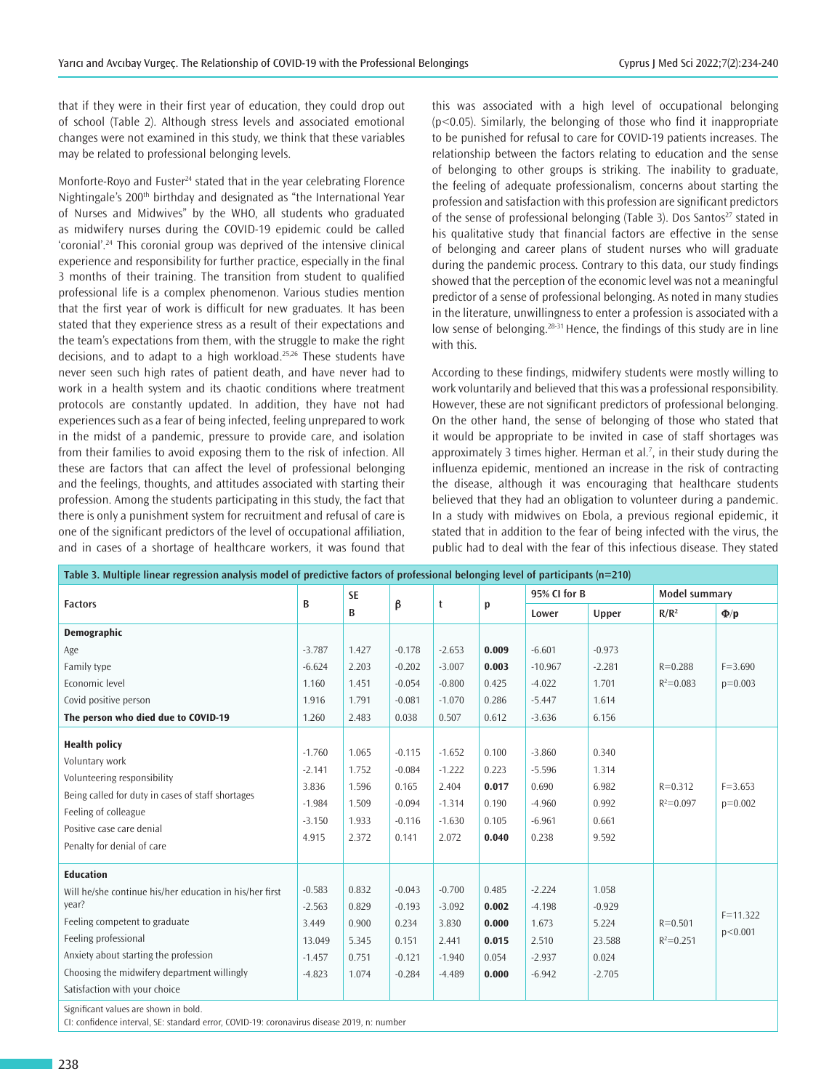that if they were in their first year of education, they could drop out of school (Table 2). Although stress levels and associated emotional changes were not examined in this study, we think that these variables may be related to professional belonging levels.

Monforte-Royo and Fuster<sup>24</sup> stated that in the year celebrating Florence Nightingale's 200<sup>th</sup> birthday and designated as "the International Year of Nurses and Midwives" by the WHO, all students who graduated as midwifery nurses during the COVID-19 epidemic could be called 'coronial'.<sup>24</sup> This coronial group was deprived of the intensive clinical experience and responsibility for further practice, especially in the final 3 months of their training. The transition from student to qualified professional life is a complex phenomenon. Various studies mention that the first year of work is difficult for new graduates. It has been stated that they experience stress as a result of their expectations and the team's expectations from them, with the struggle to make the right decisions, and to adapt to a high workload.<sup>25,26</sup> These students have never seen such high rates of patient death, and have never had to work in a health system and its chaotic conditions where treatment protocols are constantly updated. In addition, they have not had experiences such as a fear of being infected, feeling unprepared to work in the midst of a pandemic, pressure to provide care, and isolation from their families to avoid exposing them to the risk of infection. All these are factors that can affect the level of professional belonging and the feelings, thoughts, and attitudes associated with starting their profession. Among the students participating in this study, the fact that there is only a punishment system for recruitment and refusal of care is one of the significant predictors of the level of occupational affiliation, and in cases of a shortage of healthcare workers, it was found that

this was associated with a high level of occupational belonging (p<0.05). Similarly, the belonging of those who find it inappropriate to be punished for refusal to care for COVID-19 patients increases. The relationship between the factors relating to education and the sense of belonging to other groups is striking. The inability to graduate, the feeling of adequate professionalism, concerns about starting the profession and satisfaction with this profession are significant predictors of the sense of professional belonging (Table 3). Dos Santos<sup>27</sup> stated in his qualitative study that financial factors are effective in the sense of belonging and career plans of student nurses who will graduate during the pandemic process. Contrary to this data, our study findings showed that the perception of the economic level was not a meaningful predictor of a sense of professional belonging. As noted in many studies in the literature, unwillingness to enter a profession is associated with a low sense of belonging.<sup>28-31</sup> Hence, the findings of this study are in line with this.

According to these findings, midwifery students were mostly willing to work voluntarily and believed that this was a professional responsibility. However, these are not significant predictors of professional belonging. On the other hand, the sense of belonging of those who stated that it would be appropriate to be invited in case of staff shortages was approximately 3 times higher. Herman et al. $<sup>7</sup>$ , in their study during the</sup> influenza epidemic, mentioned an increase in the risk of contracting the disease, although it was encouraging that healthcare students believed that they had an obligation to volunteer during a pandemic. In a study with midwives on Ebola, a previous regional epidemic, it stated that in addition to the fear of being infected with the virus, the public had to deal with the fear of this infectious disease. They stated

| Table 3. Multiple linear regression analysis model of predictive factors of professional belonging level of participants (n=210)                                                                                                                                       |                                                                 |                                                    |                                                                |                                                                |                                                    |                                                                |                                                           |                              |                          |  |
|------------------------------------------------------------------------------------------------------------------------------------------------------------------------------------------------------------------------------------------------------------------------|-----------------------------------------------------------------|----------------------------------------------------|----------------------------------------------------------------|----------------------------------------------------------------|----------------------------------------------------|----------------------------------------------------------------|-----------------------------------------------------------|------------------------------|--------------------------|--|
| <b>Factors</b>                                                                                                                                                                                                                                                         | B                                                               | <b>SE</b><br>B                                     | β                                                              | t                                                              | p                                                  | 95% CI for B                                                   |                                                           | Model summary                |                          |  |
|                                                                                                                                                                                                                                                                        |                                                                 |                                                    |                                                                |                                                                |                                                    | Lower                                                          | Upper                                                     | $R/R^2$                      | $\Phi/\mathbf{p}$        |  |
| Demographic                                                                                                                                                                                                                                                            |                                                                 |                                                    |                                                                |                                                                |                                                    |                                                                |                                                           |                              |                          |  |
| Age                                                                                                                                                                                                                                                                    | $-3.787$                                                        | 1.427                                              | $-0.178$                                                       | $-2.653$                                                       | 0.009                                              | $-6.601$                                                       | $-0.973$                                                  |                              |                          |  |
| Family type                                                                                                                                                                                                                                                            | $-6.624$                                                        | 2.203                                              | $-0.202$                                                       | $-3.007$                                                       | 0.003                                              | $-10.967$                                                      | $-2.281$                                                  | $R = 0.288$                  | $F = 3.690$              |  |
| Economic level                                                                                                                                                                                                                                                         | 1.160                                                           | 1.451                                              | $-0.054$                                                       | $-0.800$                                                       | 0.425                                              | $-4.022$                                                       | 1.701                                                     | $R^2 = 0.083$                | $p=0.003$                |  |
| Covid positive person                                                                                                                                                                                                                                                  | 1.916                                                           | 1.791                                              | $-0.081$                                                       | $-1.070$                                                       | 0.286                                              | $-5.447$                                                       | 1.614                                                     |                              |                          |  |
| The person who died due to COVID-19                                                                                                                                                                                                                                    | 1.260                                                           | 2.483                                              | 0.038                                                          | 0.507                                                          | 0.612                                              | $-3.636$                                                       | 6.156                                                     |                              |                          |  |
| <b>Health policy</b><br>Voluntary work<br>Volunteering responsibility<br>Being called for duty in cases of staff shortages<br>Feeling of colleague<br>Positive case care denial<br>Penalty for denial of care                                                          | $-1.760$<br>$-2.141$<br>3.836<br>$-1.984$<br>$-3.150$<br>4.915  | 1.065<br>1.752<br>1.596<br>1.509<br>1.933<br>2.372 | $-0.115$<br>$-0.084$<br>0.165<br>$-0.094$<br>$-0.116$<br>0.141 | $-1.652$<br>$-1.222$<br>2.404<br>$-1.314$<br>$-1.630$<br>2.072 | 0.100<br>0.223<br>0.017<br>0.190<br>0.105<br>0.040 | $-3.860$<br>$-5.596$<br>0.690<br>$-4.960$<br>$-6.961$<br>0.238 | 0.340<br>1.314<br>6.982<br>0.992<br>0.661<br>9.592        | $R = 0.312$<br>$R^2 = 0.097$ | $F = 3.653$<br>$p=0.002$ |  |
| <b>Education</b><br>Will he/she continue his/her education in his/her first<br>year?<br>Feeling competent to graduate<br>Feeling professional<br>Anxiety about starting the profession<br>Choosing the midwifery department willingly<br>Satisfaction with your choice | $-0.583$<br>$-2.563$<br>3.449<br>13.049<br>$-1.457$<br>$-4.823$ | 0.832<br>0.829<br>0.900<br>5.345<br>0.751<br>1.074 | $-0.043$<br>$-0.193$<br>0.234<br>0.151<br>$-0.121$<br>$-0.284$ | $-0.700$<br>$-3.092$<br>3.830<br>2.441<br>$-1.940$<br>$-4.489$ | 0.485<br>0.002<br>0.000<br>0.015<br>0.054<br>0.000 | $-2.224$<br>$-4.198$<br>1.673<br>2.510<br>$-2.937$<br>$-6.942$ | 1.058<br>$-0.929$<br>5.224<br>23.588<br>0.024<br>$-2.705$ | $R = 0.501$<br>$R^2 = 0.251$ | $F = 11.322$<br>p<0.001  |  |
| Significant values are shown in bold.<br>CI: confidence interval, SE: standard error, COVID-19: coronavirus disease 2019, n: number                                                                                                                                    |                                                                 |                                                    |                                                                |                                                                |                                                    |                                                                |                                                           |                              |                          |  |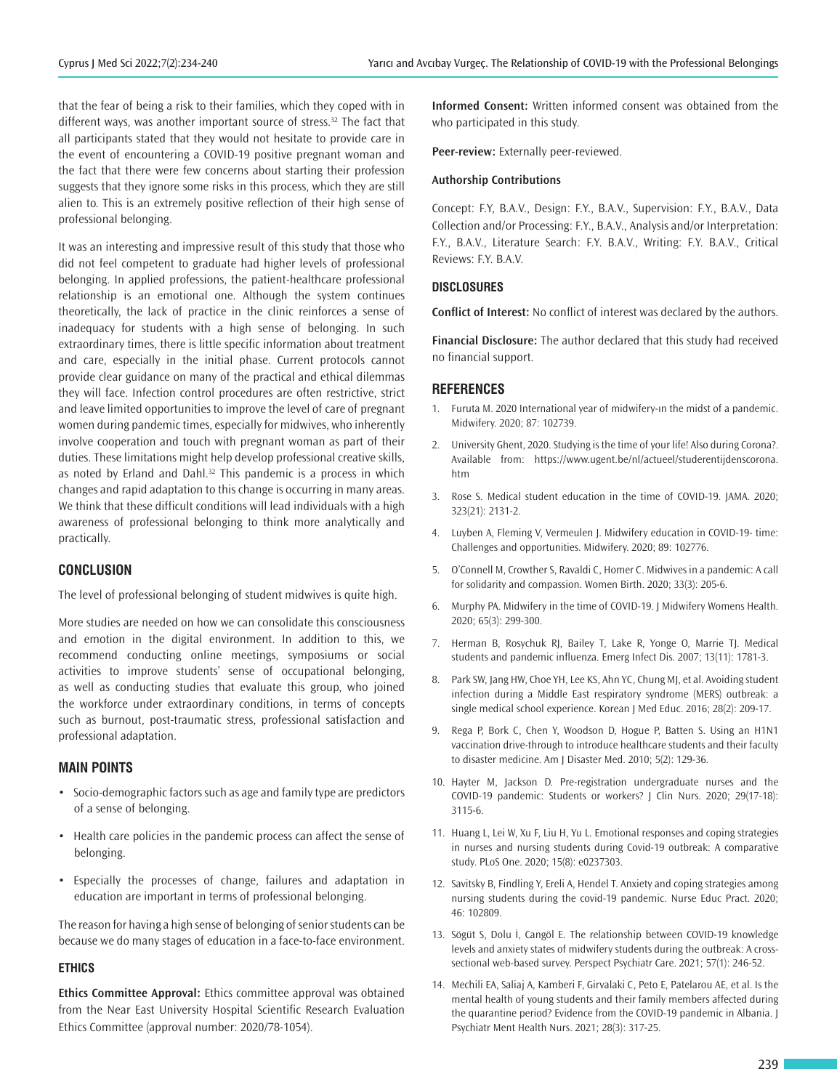that the fear of being a risk to their families, which they coped with in different ways, was another important source of stress.<sup>32</sup> The fact that all participants stated that they would not hesitate to provide care in the event of encountering a COVID-19 positive pregnant woman and the fact that there were few concerns about starting their profession suggests that they ignore some risks in this process, which they are still alien to. This is an extremely positive reflection of their high sense of professional belonging.

It was an interesting and impressive result of this study that those who did not feel competent to graduate had higher levels of professional belonging. In applied professions, the patient-healthcare professional relationship is an emotional one. Although the system continues theoretically, the lack of practice in the clinic reinforces a sense of inadequacy for students with a high sense of belonging. In such extraordinary times, there is little specific information about treatment and care, especially in the initial phase. Current protocols cannot provide clear guidance on many of the practical and ethical dilemmas they will face. Infection control procedures are often restrictive, strict and leave limited opportunities to improve the level of care of pregnant women during pandemic times, especially for midwives, who inherently involve cooperation and touch with pregnant woman as part of their duties. These limitations might help develop professional creative skills, as noted by Erland and Dahl.<sup>32</sup> This pandemic is a process in which changes and rapid adaptation to this change is occurring in many areas. We think that these difficult conditions will lead individuals with a high awareness of professional belonging to think more analytically and practically.

#### **CONCLUSION**

The level of professional belonging of student midwives is quite high.

More studies are needed on how we can consolidate this consciousness and emotion in the digital environment. In addition to this, we recommend conducting online meetings, symposiums or social activities to improve students' sense of occupational belonging, as well as conducting studies that evaluate this group, who joined the workforce under extraordinary conditions, in terms of concepts such as burnout, post-traumatic stress, professional satisfaction and professional adaptation.

#### **MAIN POINTS**

- Socio-demographic factors such as age and family type are predictors of a sense of belonging.
- Health care policies in the pandemic process can affect the sense of belonging.
- Especially the processes of change, failures and adaptation in education are important in terms of professional belonging.

The reason for having a high sense of belonging of senior students can be because we do many stages of education in a face-to-face environment.

#### **ETHICS**

**Ethics Committee Approval:** Ethics committee approval was obtained from the Near East University Hospital Scientific Research Evaluation Ethics Committee (approval number: 2020/78-1054).

**Informed Consent:** Written informed consent was obtained from the who participated in this study.

**Peer-review:** Externally peer-reviewed.

#### **Authorship Contributions**

Concept: F.Y, B.A.V., Design: F.Y., B.A.V., Supervision: F.Y., B.A.V., Data Collection and/or Processing: F.Y., B.A.V., Analysis and/or Interpretation: F.Y., B.A.V., Literature Search: F.Y. B.A.V., Writing: F.Y. B.A.V., Critical Reviews: F.Y. B.A.V.

#### **DISCLOSURES**

**Conflict of Interest:** No conflict of interest was declared by the authors.

**Financial Disclosure:** The author declared that this study had received no financial support.

#### **REFERENCES**

- 1. Furuta M. 2020 International year of midwifery-ın the midst of a pandemic. Midwifery. 2020; 87: 102739.
- 2. University Ghent, 2020. Studying is the time of your life! Also during Corona?. Available from: https://www.ugent.be/nl/actueel/studerentijdenscorona. htm
- 3. Rose S. Medical student education in the time of COVID-19. JAMA. 2020; 323(21): 2131-2.
- 4. Luyben A, Fleming V, Vermeulen J. Midwifery education in COVID-19- time: Challenges and opportunities. Midwifery. 2020; 89: 102776.
- 5. O'Connell M, Crowther S, Ravaldi C, Homer C. Midwives in a pandemic: A call for solidarity and compassion. Women Birth. 2020; 33(3): 205-6.
- 6. Murphy PA. Midwifery in the time of COVID-19. J Midwifery Womens Health. 2020; 65(3): 299-300.
- 7. Herman B, Rosychuk RJ, Bailey T, Lake R, Yonge O, Marrie TJ. Medical students and pandemic influenza. Emerg Infect Dis. 2007; 13(11): 1781-3.
- 8. Park SW, Jang HW, Choe YH, Lee KS, Ahn YC, Chung MJ, et al. Avoiding student infection during a Middle East respiratory syndrome (MERS) outbreak: a single medical school experience. Korean J Med Educ. 2016; 28(2): 209-17.
- 9. Rega P, Bork C, Chen Y, Woodson D, Hogue P, Batten S. Using an H1N1 vaccination drive-through to introduce healthcare students and their faculty to disaster medicine. Am J Disaster Med. 2010; 5(2): 129-36.
- 10. Hayter M, Jackson D. Pre-registration undergraduate nurses and the COVID-19 pandemic: Students or workers? J Clin Nurs. 2020; 29(17-18): 3115-6.
- 11. Huang L, Lei W, Xu F, Liu H, Yu L. Emotional responses and coping strategies in nurses and nursing students during Covid-19 outbreak: A comparative study. PLoS One. 2020; 15(8): e0237303.
- 12. Savitsky B, Findling Y, Ereli A, Hendel T. Anxiety and coping strategies among nursing students during the covid-19 pandemic. Nurse Educ Pract. 2020; 46: 102809.
- 13. Sögüt S, Dolu İ, Cangöl E. The relationship between COVID-19 knowledge levels and anxiety states of midwifery students during the outbreak: A crosssectional web-based survey. Perspect Psychiatr Care. 2021; 57(1): 246-52.
- 14. Mechili EA, Saliaj A, Kamberi F, Girvalaki C, Peto E, Patelarou AE, et al. Is the mental health of young students and their family members affected during the quarantine period? Evidence from the COVID-19 pandemic in Albania. J Psychiatr Ment Health Nurs. 2021; 28(3): 317-25.